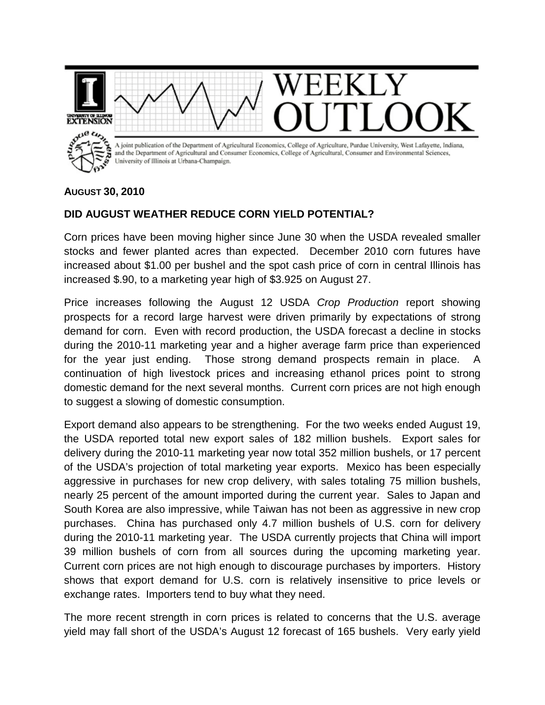

## **AUGUST 30, 2010**

## **DID AUGUST WEATHER REDUCE CORN YIELD POTENTIAL?**

Corn prices have been moving higher since June 30 when the USDA revealed smaller stocks and fewer planted acres than expected. December 2010 corn futures have increased about \$1.00 per bushel and the spot cash price of corn in central Illinois has increased \$.90, to a marketing year high of \$3.925 on August 27.

Price increases following the August 12 USDA *Crop Production* report showing prospects for a record large harvest were driven primarily by expectations of strong demand for corn. Even with record production, the USDA forecast a decline in stocks during the 2010-11 marketing year and a higher average farm price than experienced for the year just ending. Those strong demand prospects remain in place. A continuation of high livestock prices and increasing ethanol prices point to strong domestic demand for the next several months. Current corn prices are not high enough to suggest a slowing of domestic consumption.

Export demand also appears to be strengthening. For the two weeks ended August 19, the USDA reported total new export sales of 182 million bushels. Export sales for delivery during the 2010-11 marketing year now total 352 million bushels, or 17 percent of the USDA's projection of total marketing year exports. Mexico has been especially aggressive in purchases for new crop delivery, with sales totaling 75 million bushels, nearly 25 percent of the amount imported during the current year. Sales to Japan and South Korea are also impressive, while Taiwan has not been as aggressive in new crop purchases. China has purchased only 4.7 million bushels of U.S. corn for delivery during the 2010-11 marketing year. The USDA currently projects that China will import 39 million bushels of corn from all sources during the upcoming marketing year. Current corn prices are not high enough to discourage purchases by importers. History shows that export demand for U.S. corn is relatively insensitive to price levels or exchange rates. Importers tend to buy what they need.

The more recent strength in corn prices is related to concerns that the U.S. average yield may fall short of the USDA's August 12 forecast of 165 bushels. Very early yield